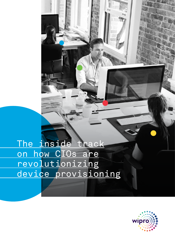The inside track <u>on how CIOs are</u> <u>revolutionizing</u> device provisioning

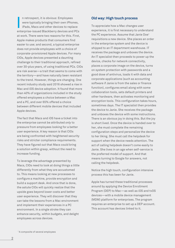n retrospect, it is obvious: Employees were typically bringing their own iPhones, iPads, Macs and other devices to replace n retrospect, it is obvious: Employees<br>were typically bringing their own iPhones,<br>iPads, Macs and other devices to replace<br>enterprise-issued Blackberry devices and PCs at work. There were two reasons for this. First, Apple makes products that consumers find easier to use; and second, a typical enterprise does not provide employees with a choice of corporate-provisioned Apple devices. For many CIOs, Apple devices presented a daunting challenge to their traditional approach, refined over 30-plus years, of using traditional PCs. CIOs are risk averse—a trait that seems to come with the territory—and have naturally been resistant to the trend. However, things are changing. One recent industry study said 2016 showed a rise in Mac and iOS device adoption. It found that more than 40% of organizations included in the study offered employees a choice between a Mac and a PC, and over 65% offered a choice between different mobile devices that included Apple devices.

The fact that Macs and iOS have a ticket into the enterprise cannot be attributed *only* to pressure from employees looking for a better user experience. A key reason is that CIOs are being confronted with heightened security risks and stricter compliance requirements. They have figured out that Macs could bring a solution within grasp, without the need to increase funding.

To leverage the advantage presented by Macs, CIOs need to look at doing things a little differently from what they are accustomed to. This means looking at new processes to configure a machine, provide encryption and build a support desk. And once that is done, the astute CIOs will quickly realize that the upside goes beyond lower costs and better user experience. They will discover that they can take the lessons from a Mac environment and implement their experiences in a PC environment. In a single stroke they can enhance security, within budgets, and delight employees across devices.

## **Old way: High touch process**

To appreciate how a Mac changes user experience, it is first necessary to understand the PC experience. Assume that Janie Doe<sup>1</sup> requisitions a new device. She places an order in the enterprise system and the device is shipped to an IT department warehouse. IT receives the package and unboxes the device. An IT specialist then proceeds to power up the device, checks for network connectivity, places a corporate image on the device, turns on system protection with passwords and a good dose of antivirus, loads it with data and corporate applications (such as accounting software if Janie is from the sales or finance function), configures email along with some collaboration tools, sets default printers and other hardware, then activates monitoring and encryption tools. This configuration takes hours, sometimes days. The IT specialist then provides the device to Janie. She receives the package and unboxes the device with some instructions. There is an obvious joy in doing this. But the joy is short lived. Once the device is handed over to her, she must complete the remaining configuration steps and personalize the device to her liking. She must call the helpdesk for support when the device needs attention. The act of calling helpdesk doesn't come easily to Janie. She lives in an age when self-service is the preferred model of support. And that means turning to Google for answers, not calling the helpdesk.

Notice the high touch, configuration intensive process this has been for Janie.

Apple has turned these traditional processes around by applying the Device Enrollment Program (DEP) to Mac—as well as iOS and tvOS devices—with a mobile device management (MDM) platform for enterprises. The program requires an enterprise to set up a DEP account. This account has devices linked to it.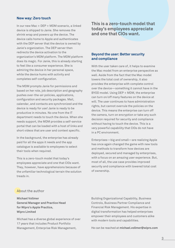## **New way: Zero touch**

In our new Mac + DEP + MDM scenario, a linked device is shipped to Janie. She removes the shrink wrap and powers up the device. The device calls home to Apple and authenticates with the DEP server that the device is owned by Janie's organization. The DEP server then redirects the device activation to the organization's MDM platform. The MDM platform does its magic. For Janie, this is already starting to feel like a consumer experience. She is admiring the device in her personal space, while the device hums with activity and completes self-configuration.

The MDM prompts Janie for permissions and based on her role, job description and geography pushes over-the-air policies, applications, configuration and security packages. Mail, calendar, and contacts are synchronized and the device is ready for use! Janie is ready to be productive in minutes. No one from the IT department needs to touch the device. When she needs support, the MDM provides a self-service portal that can be loaded with a host of links and short videos that are user and context specific.

In the background, the enterprise has already paid for all the apps it needs and the app catalogue is available to employees to select their tools when required.

This is a zero-touch model that today's employees appreciate and one that CIOs want. They, however, have apprehensions because of the unfamiliar technological terrain the solution treads in.

**This is a zero-touch model that today's employees appreciate and one that CIOs want.** 

## **Beyond the user: Better security and compliance**

With the user taken care of, it helps to examine the Mac model from an enterprise perspective as well. Aside from the fact that the Mac model lowers the total cost of ownership, it also provides the enterprise with complete control over the device—something it cannot have in the BYOD model. Using DEP + MDM, the enterprise can turn on/off many features on the device at will. The user continues to have administration rights, but cannot overrule the policies on the device. This means the enterprise can turn off the camera, turn on encryption or take any such decision required for security and compliance without having to touch the device. This is a very powerful capability that CIOs do not have in a PC environment.

Enterprises—big and small—are realizing Apple has once again changed the game with new tools and methods to transform how devices are deployed, secured and managed by enterprises, with a focus on an amazing user experience. But, most of all, the use case provides improved security and compliance with lowered total cost of ownership.

## About the author

**Michael Vollmer General Manager and Practice Head for Wipro's Apple Practice, Wipro Limited**

Michael has a diverse global experience of over 17 years that includes Product Portfolio Management, Enterprise Risk Management,

Building Organizational Capability, Business Controls, Business Partner Compliance and Financial Risk Management. His expertise in digital transformation has helped enterprises empower their employees and customers alike with modern tools and capabilities.

He can be reached at **michael.vollmer@wipro.com**